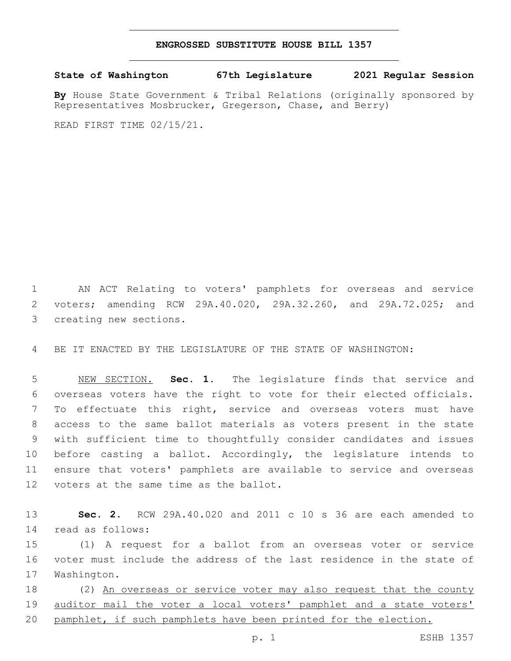## **ENGROSSED SUBSTITUTE HOUSE BILL 1357**

**State of Washington 67th Legislature 2021 Regular Session**

**By** House State Government & Tribal Relations (originally sponsored by Representatives Mosbrucker, Gregerson, Chase, and Berry)

READ FIRST TIME 02/15/21.

1 AN ACT Relating to voters' pamphlets for overseas and service 2 voters; amending RCW 29A.40.020, 29A.32.260, and 29A.72.025; and 3 creating new sections.

4 BE IT ENACTED BY THE LEGISLATURE OF THE STATE OF WASHINGTON:

 NEW SECTION. **Sec. 1.** The legislature finds that service and overseas voters have the right to vote for their elected officials. To effectuate this right, service and overseas voters must have access to the same ballot materials as voters present in the state with sufficient time to thoughtfully consider candidates and issues before casting a ballot. Accordingly, the legislature intends to ensure that voters' pamphlets are available to service and overseas voters at the same time as the ballot.

13 **Sec. 2.** RCW 29A.40.020 and 2011 c 10 s 36 are each amended to read as follows:14

15 (1) A request for a ballot from an overseas voter or service 16 voter must include the address of the last residence in the state of 17 Washington.

18 (2) An overseas or service voter may also request that the county 19 auditor mail the voter a local voters' pamphlet and a state voters' 20 pamphlet, if such pamphlets have been printed for the election.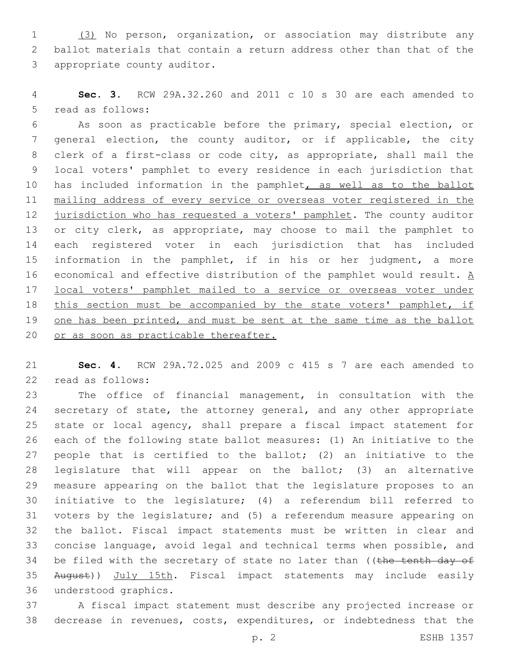(3) No person, organization, or association may distribute any ballot materials that contain a return address other than that of the 3 appropriate county auditor.

 **Sec. 3.** RCW 29A.32.260 and 2011 c 10 s 30 are each amended to 5 read as follows:

 As soon as practicable before the primary, special election, or general election, the county auditor, or if applicable, the city clerk of a first-class or code city, as appropriate, shall mail the local voters' pamphlet to every residence in each jurisdiction that has included information in the pamphlet, as well as to the ballot mailing address of every service or overseas voter registered in the 12 jurisdiction who has requested a voters' pamphlet. The county auditor 13 or city clerk, as appropriate, may choose to mail the pamphlet to each registered voter in each jurisdiction that has included information in the pamphlet, if in his or her judgment, a more 16 economical and effective distribution of the pamphlet would result.  $\underline{A}$  local voters' pamphlet mailed to a service or overseas voter under 18 this section must be accompanied by the state voters' pamphlet, if 19 one has been printed, and must be sent at the same time as the ballot 20 or as soon as practicable thereafter.

 **Sec. 4.** RCW 29A.72.025 and 2009 c 415 s 7 are each amended to 22 read as follows:

 The office of financial management, in consultation with the secretary of state, the attorney general, and any other appropriate state or local agency, shall prepare a fiscal impact statement for each of the following state ballot measures: (1) An initiative to the people that is certified to the ballot; (2) an initiative to the legislature that will appear on the ballot; (3) an alternative measure appearing on the ballot that the legislature proposes to an initiative to the legislature; (4) a referendum bill referred to voters by the legislature; and (5) a referendum measure appearing on the ballot. Fiscal impact statements must be written in clear and concise language, avoid legal and technical terms when possible, and 34 be filed with the secretary of state no later than ((the tenth day of August)) July 15th. Fiscal impact statements may include easily 36 understood graphics.

 A fiscal impact statement must describe any projected increase or decrease in revenues, costs, expenditures, or indebtedness that the